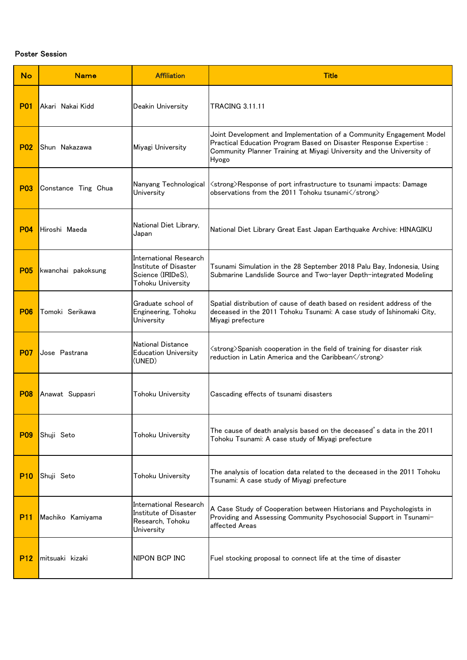| <b>No</b>       | <b>Name</b>         | <b>Affiliation</b>                                                                               | <b>Title</b>                                                                                                                                                                                                                 |
|-----------------|---------------------|--------------------------------------------------------------------------------------------------|------------------------------------------------------------------------------------------------------------------------------------------------------------------------------------------------------------------------------|
| <b>P01</b>      | Akari Nakai Kidd    | Deakin University                                                                                | <b>TRACING 3.11.11</b>                                                                                                                                                                                                       |
| <b>P02</b>      | Shun Nakazawa       | Miyagi University                                                                                | Joint Development and Implementation of a Community Engagement Model<br>Practical Education Program Based on Disaster Response Expertise :<br>Community Planner Training at Miyagi University and the University of<br>Hyogo |
| <b>P03</b>      | Constance Ting Chua | Nanyang Technological<br>University                                                              | ≺strong>Response of port infrastructure to tsunami impacts: Damage<br>observations from the 2011 Tohoku tsunami                                                                                                              |
| <b>P04</b>      | Hiroshi Maeda       | National Diet Library,<br>Japan                                                                  | National Diet Library Great East Japan Earthquake Archive: HINAGIKU                                                                                                                                                          |
| <b>P05</b>      | kwanchai pakoksung  | International Research<br>Institute of Disaster<br>Science (IRIDeS),<br><b>Tohoku University</b> | Tsunami Simulation in the 28 September 2018 Palu Bay, Indonesia, Using<br>Submarine Landslide Source and Two-layer Depth-integrated Modeling                                                                                 |
| <b>P06</b>      | Tomoki Serikawa     | Graduate school of<br>Engineering, Tohoku<br>University                                          | Spatial distribution of cause of death based on resident address of the<br>deceased in the 2011 Tohoku Tsunami: A case study of Ishinomaki City,<br>Miyagi prefecture                                                        |
| <b>P07</b>      | Jose Pastrana       | <b>National Distance</b><br><b>Education University</b><br>(UNED)                                | ≺strong>Spanish cooperation in the field of training for disaster risk<br>reduction in Latin America and the Caribbean $\le$ /strong $\ge$                                                                                   |
| <b>P08</b>      | Anawat Suppasri     | Tohoku University                                                                                | Cascading effects of tsunami disasters                                                                                                                                                                                       |
| <b>P09</b>      | Shuji Seto          | Tohoku University                                                                                | The cause of death analysis based on the deceased's data in the 2011<br>Tohoku Tsunami: A case study of Miyagi prefecture                                                                                                    |
| P <sub>10</sub> | Shuji Seto          | Tohoku University                                                                                | The analysis of location data related to the deceased in the 2011 Tohoku<br>Tsunami: A case study of Miyagi prefecture                                                                                                       |
| <b>P11</b>      | Machiko Kamiyama    | International Research<br>Institute of Disaster<br>Research, Tohoku<br>University                | A Case Study of Cooperation between Historians and Psychologists in<br>Providing and Assessing Community Psychosocial Support in Tsunami-<br>affected Areas                                                                  |
| <b>P12</b>      | mitsuaki kizaki     | NIPON BCP INC                                                                                    | Fuel stocking proposal to connect life at the time of disaster                                                                                                                                                               |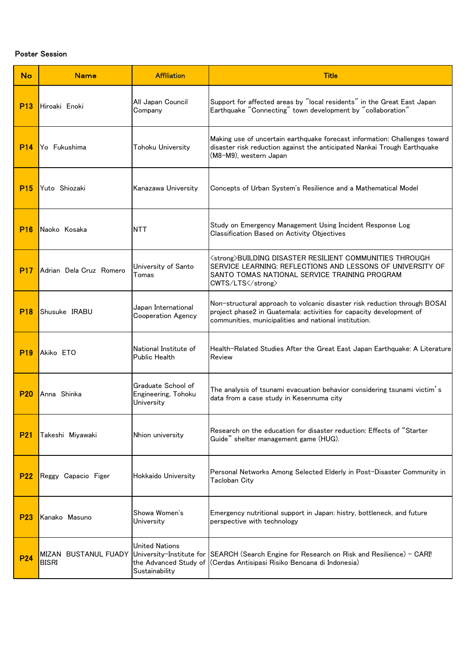| <b>No</b>       | <b>Name</b>                          | <b>Affiliation</b>                                      | <b>Title</b>                                                                                                                                                                                              |
|-----------------|--------------------------------------|---------------------------------------------------------|-----------------------------------------------------------------------------------------------------------------------------------------------------------------------------------------------------------|
| <b>P13</b>      | Hiroaki Enoki                        | All Japan Council<br>Company                            | Support for affected areas by "local residents" in the Great East Japan<br>Earthquake "Connecting" town development by "collaboration"                                                                    |
| <b>P14</b>      | Yo Fukushima                         | Tohoku University                                       | Making use of uncertain earthquake forecast information: Challenges toward<br>disaster risk reduction against the anticipated Nankai Trough Earthquake<br>(M8-M9), western Japan                          |
| <b>P15</b>      | Yuto Shiozaki                        | Kanazawa University                                     | Concepts of Urban System's Resilience and a Mathematical Model                                                                                                                                            |
| <b>P16</b>      | Naoko Kosaka                         | <b>NTT</b>                                              | Study on Emergency Management Using Incident Response Log<br>Classification Based on Activity Objectives                                                                                                  |
| <b>P17</b>      | Adrian Dela Cruz Romero              | University of Santo<br>Tomas                            | <strong>BUILDING DISASTER RESILIENT COMMUNITIES THROUGH<br/>SERVICE LEARNING: REFLECTIONS AND LESSONS OF UNIVERSITY OF<br/>SANTO TOMAS NATIONAL SERVICE TRAINING PROGRAM<br/>CWTS/LTS</strong>            |
| <b>P18</b>      | Shusuke IRABU                        | Japan International<br><b>Cooperation Agency</b>        | Non-structural approach to volcanic disaster risk reduction through BOSAI<br>project phase2 in Guatemala: activities for capacity development of<br>communities, municipalities and national institution. |
| P <sub>19</sub> | Akiko ETO                            | National Institute of<br><b>Public Health</b>           | Health-Related Studies After the Great East Japan Earthquake: A Literature<br>Review                                                                                                                      |
| <b>P20</b>      | Anna Shinka                          | Graduate School of<br>Engineering, Tohoku<br>University | The analysis of tsunami evacuation behavior considering tsunami victim's<br>data from a case study in Kesennuma city                                                                                      |
| <b>P21</b>      | Takeshi Miyawaki                     | Nhion university                                        | Research on the education for disaster reduction: Effects of "Starter<br>Guide" shelter management game (HUG).                                                                                            |
| <b>P22</b>      | Reggy Capacio Figer                  | Hokkaido University                                     | Personal Networks Among Selected Elderly in Post-Disaster Community in<br>Tacloban City                                                                                                                   |
| <b>P23</b>      | Kanako Masuno                        | Showa Women's<br>University                             | Emergency nutritional support in Japan: histry, bottleneck, and future<br>perspective with technology                                                                                                     |
| <b>P24</b>      | MIZAN BUSTANUL FUADY<br><b>BISRI</b> | <b>United Nations</b><br>Sustainability                 | University-Institute for SEARCH (Search Engine for Research on Risk and Resilience) - CARI!<br>the Advanced Study of (Cerdas Antisipasi Risiko Bencana di Indonesia)                                      |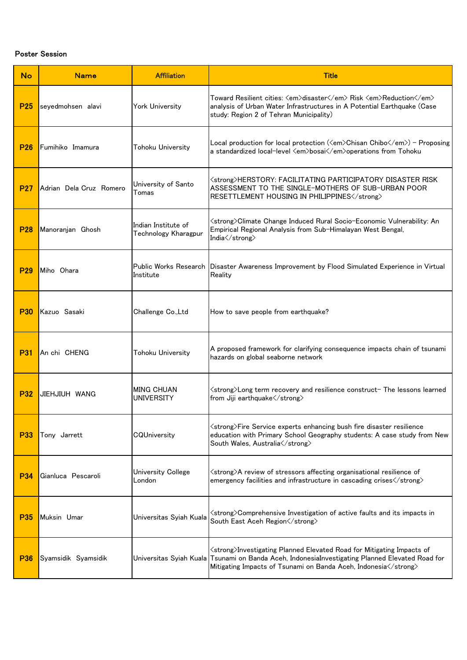| <b>No</b>       | <b>Name</b>             | <b>Affiliation</b>                          | <b>Title</b>                                                                                                                                                                                               |
|-----------------|-------------------------|---------------------------------------------|------------------------------------------------------------------------------------------------------------------------------------------------------------------------------------------------------------|
| <b>P25</b>      | seyedmohsen alavi       | York University                             | Toward Resilient cities: <em>disaster</em> Risk <em>Reduction</em><br>analysis of Urban Water Infrastructures in A Potential Earthquake (Case<br>study: Region 2 of Tehran Municipality)                   |
| <b>P26</b>      | Fumihiko Imamura        | <b>Tohoku University</b>                    | Local production for local protection ( <em>Chisan Chibo</em> ) - Proposing<br>a standardized local-level <em>bosai</em> operations from Tohoku                                                            |
| <b>P27</b>      | Adrian Dela Cruz Romero | University of Santo<br>Tomas                | <strong>HERSTORY: FACILITATING PARTICIPATORY DISASTER RISK<br/>ASSESSMENT TO THE SINGLE-MOTHERS OF SUB-URBAN POOR<br/>RESETTLEMENT HOUSING IN PHILIPPINES</strong>                                         |
| <b>P28</b>      | Manoranjan Ghosh        | Indian Institute of<br>Technology Kharagpur | <strong>Climate Change Induced Rural Socio-Economic Vulnerability: An<br/>Empirical Regional Analysis from Sub-Himalayan West Bengal,<br/>India </strong>                                                  |
| <b>P29</b>      | Miho Ohara              | Public Works Research<br>Institute          | Disaster Awareness Improvement by Flood Simulated Experience in Virtual<br>Reality                                                                                                                         |
| <b>P30</b>      | Kazuo Sasaki            | Challenge Co., Ltd                          | How to save people from earthquake?                                                                                                                                                                        |
| <b>P31</b>      | An chi CHENG            | <b>Tohoku University</b>                    | A proposed framework for clarifying consequence impacts chain of tsunami<br>hazards on global seaborne network                                                                                             |
| <b>P32</b>      | JIEHJIUH WANG           | <b>MING CHUAN</b><br><b>UNIVERSITY</b>      | <strong>Long term recovery and resilience construct- The lessons learned<br/>from Jiji earthquake </strong>                                                                                                |
| <b>P33</b>      | Tony Jarrett            | CQUniversity                                | ≺strong>Fire Service experts enhancing bush fire disaster resilience<br>education with Primary School Geography students: A case study from New<br>South Wales, Australia                                  |
| <b>P34</b>      | Gianluca Pescaroli      | University College<br>London                | ≺strong>A review of stressors affecting organisational resilience of<br>emergency facilities and infrastructure in cascading crises                                                                        |
| P <sub>35</sub> | Muksin Umar             | Universitas Syiah Kuala                     | <strong>Comprehensive Investigation of active faults and its impacts in<br/>South East Aceh Region </strong>                                                                                               |
| <b>P36</b>      | Syamsidik Syamsidik     | Universitas Syiah Kuala                     | ≺strong>Investigating Planned Elevated Road for Mitigating Impacts of<br>Tsunami on Banda Aceh, IndonesiaInvestigating Planned Elevated Road for<br>Mitigating Impacts of Tsunami on Banda Aceh, Indonesia |